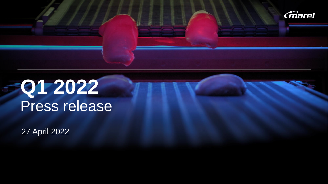

# **Q4 2021** Press release **Q1 2022** Press release

 $27$  April 2022 27 April 2022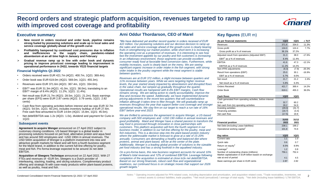### **Record orders and strategic platform acquisition, revenues targeted to ramp up with improved cost coverage and profitability**



 $\overline{2}$ 

- ➢ **New record in orders received and order book, pipeline remains strong fueled by pioneering solutions and scale up in local sales and service coverage globally ahead of the growth curve**
- ➢ **Profitability hampered by continued cost pressures due to inflation and inefficiencies in the supply chain, pandemic-related absenteeism at an all time high in January and February**
- ➢ **Gradual revenue ramp up in line with order book and dynamic pricing to improve price/cost coverage leading to improvement in operational performance in 2H22, towards YE23 financial targets**

#### **Financial highlights Q1 2022**

- Orders received were EUR 421.7m (4Q21: 400.7m, 1Q21: 369.4m).
- Order book was EUR 619.0m (4Q21: 569.0m, 1Q21: 455.3m).
- Revenues were EUR 371.6m (4Q21: 367.4m, 1Q21: 334.0m).
- EBIT<sup>1</sup> was EUR 31.3m (4Q21: 41.0m, 1Q21: 38.0m), translating to an EBIT<sup>1</sup> margin of 8.4% (4Q21: 11.2%, 1Q21: 11.4%).
- Net result was EUR 21.7m (4Q21: 28.5m, 1Q21: 21.2m). Basic earnings per share (EPS) were EUR 2.87 cents (4Q21: 3.79 cents, 1Q21: 2.82 cents)
- Cash flow from operating activities before interest and tax was EUR 32.7m (4Q21: 54.5m, 1Q21: 60.2m), includes inventory buildup of EUR 27.6m. Free cash flow amounted to EUR 14.6m (4Q21: 15.8m, 1Q21: 45.5m).
- Net debt/EBITDA was 1.2x (4Q21: 1.0x), dividend and payment for Curio in 1Q22.

#### **Subsequent events**

**Agreement to acquire Wenger** announced on 27 April 2022 subject to customary closing conditions. US based Wenger is a global leader in processing solutions focused on pet food, alternative protein and aqua feed and has around 500 employees and ~USD 190m in annual revenues. The USD 540m acquisition of Wenger is a platform investment into new and attractive growth markets for Marel and will form a fourth business segment for the Marel brand, in addition to the current full-line offering for poultry, meat and fish. Pro forma leverage expected to be around 3x net debt EBITDA.

**Acquisition of Sleegers Technique** announced on 22 April 2022. With 27 FTEs and revenues of ~EUR 5m, Sleegers is a Dutch provider of interleaving, stacking, loading, and slicing solutions. Complimentary product offering and strategic fit with case-ready products within plant-based proteins, as well as poultry, meat and fish.

### **Executive summary Constructed Constrained Arni Oddur Thordarson, CEO of Marel Constructed Key figures (EUR m)**

*"We have delivered yet another record quarter in orders received of EUR 422 million. Our pioneering solutions and our decisive decision to ramp up the sales and service coverage ahead of the growth curve is clearly bearing fruits in strengthening our market position, while short-term it is increasing the operating cost as a proportion of revenues. It is interesting to see how fast the investment appetite by our poultry and fish customers is increasing. In an inflationary environment, those segments can provide excellent consumer ready food at favorable feed conversion rates. Furthermore, while mobility increases, sushi is clearly back on the menu. We are seeing significant organic increase in order intake in the fish segment, with strong order intake in the poultry segment while the meat segment is stable between quarters.* 

*Revenues are at EUR 372 million, a slight increase between quarters and 11% increase between years. While we were targeting higher revenue levels, the year started slowly impacted by absenteeism and disrupted flows in the value chain, but ramped up gradually throughout the quarter. Operational results are hampered with 8.4% EBIT margins. Cash flow remains strong. We are taking action to clarify accountability, improve the flow and increase the speed. Additionally, we have implemented dynamic pricing adjustments in the recent two quarters that will counterbalance inflation although it takes time to filter through. We will gradually ramp up revenues throughout the year that support better cost coverage and stronger operational results. We stay firm on our target to reach a run rate of 16% EBIT before year-end 2023.*

*We are thrilled to announce the agreement to acquire Wenger, a US-based company with 500 employees and ~USD 190 million in annual revenues and good profitability. Marel and Wenger have a shared passion to transform the way food is processed through innovation in close partnerships with customers. This platform acquisition will form the fourth segment in our business model, in addition to our full-line offering for the poultry, meat and fish industries. This is a decisive step into the plant-based protein industry where the addressable market is forecast to grow at a rate of 15-20% annually. Consumers are demanding a healthy and balanced diet where proteins, animal and plant-based, will be at the center of the plate. Additionally, Wenger is a leading global provider of solutions to the sizeable pet food industry and has a strong foothold in the aquafeed industry.* 

*On a pro-forma basis, this new business segment accounts for around 10% of Marel's total revenues and 12% of combined EBITDA. Leverage following completion of the acquisition is estimated at close to3x net debt/EBITDA. Based on our strong financials, robust cash flow and organizational readiness, our continued focus is on strategic moves that support our 2026 growth targets."* 

| As per financial statements                               | 1Q22             | 1Q21               | $\Delta$ YoY |
|-----------------------------------------------------------|------------------|--------------------|--------------|
| Revenues                                                  | 371.6            | 334.0              | 11.3%        |
| Gross profit                                              | 134.0            | 124.4              | 7.7%         |
| Gross profit as a % of revenues                           | 36.1%            | 37.2%              |              |
| Adjusted result from operations (Adjusted EBIT)           | 31.3             | 38.0               | $-17.6%$     |
| $EBIT1$ as a % of revenues                                | 8.4%             | 11.4%              |              |
| <b>EBITDA</b>                                             | 41.6             | 47.3               | $-12.1%$     |
| EBITDA as a % of revenues                                 | 11.2%            | 14.2%              |              |
| Non-IFRS adjustments                                      | (6.3)            | (7.9)              | $-20.3%$     |
| Result from operations (EBIT)                             | 25.0             | 30.1               | $-16.9%$     |
| EBIT as a % of revenues                                   | 6.7%             | 9.0%               |              |
| Net result                                                | 21.7             | 21.2               | 2.4%         |
| Net result as a % of revenues                             | 5.8%             | 6.3%               |              |
| <b>Orders Received</b>                                    | 421.7            | 369.4              | 14.2%        |
| Order Book                                                | 619.1            | 455.3              | 36.0%        |
|                                                           |                  |                    |              |
| <b>Cash flows</b>                                         | 1Q22             | 1Q21               |              |
| Cash generated from operating activities, before interest |                  |                    |              |
| & tax                                                     | 32.7             | 60.2               |              |
| Net cash from (to) operating activities                   | 28.2             | 54.9               |              |
| Investing activities<br>Financing activities              | (29.0)           | (31.7)             |              |
| Net cash flow                                             | (16.7)<br>(17.5) | (3.4)<br>19.8      |              |
|                                                           |                  |                    |              |
|                                                           | 31/03            | 31/12              |              |
| <b>Financial position</b>                                 | 2022             | 2021               |              |
| Net Debt (Including Lease liabilities)                    | 238.1            | 199.2              |              |
| Operational working capital <sup>2</sup>                  | 101.8            | 74.6               |              |
| <b>Key ratios</b>                                         | <b>1Q22</b>      |                    |              |
| Current ratio                                             | 1.1              | <b>1Q21</b><br>1.0 |              |
| Quick ratio                                               | 0.6              | 0.7                |              |
| Return on equity <sup>3</sup>                             | 8.5%             | 8.9%               |              |
| Leverage <sup>4</sup>                                     | 1.2              | 0.8                |              |
| Number of outstanding shares (millions)                   | 756.1            | 752.4              |              |
| Market capitalization in EUR billion based on exchange    |                  |                    |              |
| rate at end of period                                     | 4.1              | 4.5                |              |
|                                                           |                  |                    |              |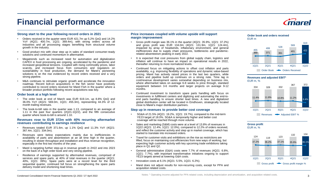# **Financial performance**



#### **Strong start to the year following record orders in 2021**

- Orders received in the quarter were EUR 421.7m up 5.2% QoQ and 14.2% YoY (4Q21: 400.7m, 1Q21: 369.4m), with strong orders across all industries and all processing stages benefiting from structural volume growth in the industry.
- Good product mix with clear step up in sales of standard consumer-ready solutions and continued momentum in aftermarket.
- Megatrends such as increased need for automation and digitalization CAPEX in food processing are ongoing, accelerated by the pandemic and increased geopolitical tensions. Coupled with rising commodity prices, labor scarcity, and increased focus from consumers and regulators on sustainability in food production, the demand for Marel's pioneering solutions is on the rise evidenced by record orders received and a very strong pipeline.
- M&A continues to stimulate organic growth and accelerate the innovation roadmap. Recent bolt-on acquisitions in the fish sector have positively contributed to record orders received for Marel Fish in the quarter where a broader product portfolio following recent acquisitions was key.

#### **Order book at a high level**

- The order book at end of March was EUR 619.1m, up 8.8% QoQ and 36.0% YoY (4Q21: 569.0m, 1Q21: 455.3m), representing 44.3% of 12 month trailing revenues.
- The book-to-bill ratio in the quarter was 1.13, compared to an average of 1.11 in the past four quarters (2Q21-1Q22), and the fifth consecutive quarter where book-to-bill is around 1.10.

#### **Revenues rose to EUR 372m with 40% recurring aftermarket revenues contributing to earnings resilience**

- Revenues totaled EUR 371.6m, up 1.1% QoQ and 11.3% YoY (4Q21: 367.4m, 1Q21: 334.0m).
- Revenues were below expectations mainly due to inefficiencies in availability of parts and absenteeism at an all time high in the quarter, resulting in slower throughput and installation and thus revenue recognition, especially in the first two months of the year.
- Marel is targeting further step-up in revenue growth in 2H22 and into 2023 on the back of a high order book and very strong pipeline.
- Resilience of earnings supported by aftermarket revenues, comprised of services and spare parts, at 40% of total revenues in the quarter (4Q21: 40%, 1Q21: 39%). Spare parts were at a record level for the third sequential quarter, continued full focus on strengthening the spare parts delivery model and shortening lead times.

#### **Price increases coupled with volume upside will support margin improvement**

- Gross profit margin was 36.1% in the quarter (4Q21: 35.9%, 1Q21: 37.2%) and gross profit was EUR 134.0m (4Q21: 131.9m, 1Q21: 124.4m), impacted by array of headwinds, inflationary environment, and general inefficiencies due to supply chain pressures, bottlenecks and pandemicrelated absenteeism peaking in early 2022.
- It is expected that cost pressures from global supply chain, logistics and inflation will continue to have an impact on operational results in 2022, thereafter returning to more normalized levels.
- Continued focus on mitigating actions to offset cost inflation and parts availability, e.g. improving flexibility of operations and dynamic value-based pricing. Marel has actively raised prices in the last two quarters, while orders and pipeline build up continues on a strong note. Time lag in cost/revenue development varies somewhat depending on business mix, where aftermarket takes on average 6-8 weeks to price through, standard equipment between 3-6 months and larger projects on average 9-12 months.
- Continued investment to transform spare parts handling with focus on investments in fulfillment centers and digitizing and automating the end-toend parts handling to ensure shorter lead times. A new and digitalized global distribution center will be located in Eindhoven, strategically located close to Marel's major distribution partners.

#### **Step up in revenues to provide better cost coverage**

- SG&A of 21.5% (4Q21: 19.2%, 1Q21: 19.7%), compared to the mid-term YE23 target of 18.0%. SG&A is temporarily higher and better cost coverage will be reached through more volume.
- Sales and marketing (S&M) costs were at a level of 13.8% of revenues in 1Q22 (4Q21: 12.4%, 1Q21: 12.0%), compared to 12.2% of orders received, and reflect the customer activity and step up in market coverage, which has started to translate into increased orders.
- Travel for customer visits and exhibitions on the rise as restrictions are lifted, focus on maintaining cost efficiencies from new ways of working, but expecting high customer activity with key upcoming trade exhibitions taking place in Q1 and Q2.
- General administrative (G&A) costs were 7.7% of revenues (4Q21: 6.8%, 1Q21: 7.7%), with important transformative initiatives ongoing to support YE23 targets aimed at lowering G&A costs.
- Innovation costs at 6.1% (4Q21: 5.5%, 1Q21: 6.2%).
- Marel does not adjust results for non-recurring costs, except for PPA and acquisition related costs.

#### **Order book and orders received** EUR m







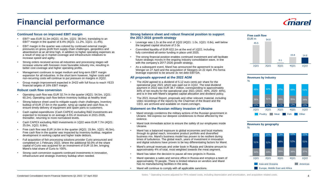# **Financial performance**



#### **Continued focus on improved EBIT margin**

- EBIT<sup>1</sup> was EUR 31.3m (4Q21: 41.0m, 1Q21: 38.0m), translating to an EBIT<sup>1</sup> margin in the quarter of 8.4% (4Q21: 11.2%, 1Q21: 11.4%).
- EBIT margin in the quarter was colored by continued external margin pressures on gross profit from supply chain challenges, geopolitics and absenteeism at an all time high, in addition to higher operating expenses as a result of step up in market coverage and infrastructure initiatives to increase speed and agility.
- Strong orders received across all industries and processing stages will increase volume with foreseen more favorable industry mix, resulting in better cost coverage and higher operating profits.
- Management continues to target medium and long-term EBIT margin expansion for all industries. In the short term however, higher costs and non-recurring costs will continue to put pressure on margins in 2Q22.
- Group margin improvement expected in 2H22 with full focus to reach YE23 financial targets of 16% EBIT margin.

#### **Robust cash flow conversion**

- Operating cash flow was EUR 32.7m in the quarter (4Q21: 54.5m, 1Q21: 60.2m). Operating cash flow before inventory buildup at healthy level
- Strong balance sheet used to mitigate supply chain challenges, inventory buildup of EUR 27.6m in the quarter, tying up capital and cash flow, to ensure timely delivery of equipment and spare parts to customers.
- Cash capital expenditures (Cash CAPEX) excluding R&D investments are expected to increase to on average 4-5% of revenues in 2021-2026, thereafter, returning to more normalized levels.
- Cash CAPEX excluding R&D investments in 1Q22 were EUR 7.7m (4Q21: 25.0m, 1Q21: 6.8m).
- Free cash flow was EUR 14.6m in the quarter (4Q21: 15.8m, 1Q21: 45.5m). Free cash flow in the quarter was impacted by inventory buildup, negative development in working capital and higher trade debtors.
- Full acquisition of fish processing solutions provider Curio announced and completed on 1 February 2022, where the additional 50.0% of the share capital of Curio was acquired for an investment of EUR 15.9m, bringing Marel's total share of Curio to 100%.
- Strong cash conversion supports continued investments in innovation, infrastructure and strategic inventory buildup when needed.

#### **Strong balance sheet and robust financial position to support the 2017-2016 growth strategy**

- Leverage was 1.2x at the end of  $1Q22$  ( $4Q21: 1.0x$ ,  $1Q21: 0.8x$ ), well below the targeted capital structure of 2-3x.
- Committed liquidity of EUR 622.1m at the end of 1Q22, including fully committed all-senior funding in place until 2025.
- The strong financial position enables continued investment and will facilitate future strategic moves in the ongoing industry consolidation wave, in line with the company's 2017-2026 growth strategy.
- As a subsequent event, Marel has announced the agreement to acquire Wenger on 27 April and the acquisition of Sleegers on 22 April. Pro forma leverage expected to be around 3x net debt EBITDA.

#### **All proposals approved at the 2022 AGM**

- The AGM agreed to a dividend of 5.12 euro cents per share for the operational year 2021 which was paid out in 1Q22. The total dividend payment in 2022 was EUR 38.7 million, corresponding to approximately 40% of net results for the operational year 2021 (2021: 40%, 2020: 40%), and is in line with Marel's targeted capital allocation and dividend policy.
- The 2021 Annual Report, proposals and other relevant material, including video recordings of the reports by the Chairman of the Board and the CEO, are archived and available on marel.com/agm.

#### **Statement on the Russian military invasion of Ukraine**

- Marel strongly condemns the military actions of the Russian government in Ukraine. We express our deepest condolences to those affected by the violence.
- Marel took immediate action to ensure the safety of our employees inside Ukraine.
- Marel has a balanced exposure to global economies and local markets through its global reach, innovative product portfolio and diversified business mix. Marel's business model has proven to be resilient during times of turbulence. The global reach, years of investment in innovation and digital solutions have proven to be key differentiating factors for Marel.
- Marel's annual revenues and order book in Russia and Ukraine amount to approximately 4% of total, most weighted towards the meat segment.
- Marel has taken the decision to pause all new projects in Russia.
- Marel operates a sales and service office in Russia and employs a team of approximately 70 people. There is limited reliance on vendors and Marel has no manufacturing facilities in the area.
- Marel will continue to comply with all applicable sanctions.



#### **Revenues by industry**







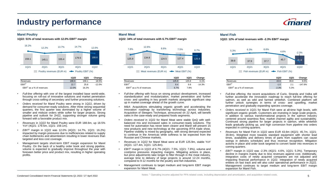# **Industry performance**

#### **Marel Poultry**

#### **1Q22: 51% of total revenues with 12.0% EBIT<sup>1</sup> margin**



|                            | 1022  | <b>1Q21</b> | Change    |
|----------------------------|-------|-------------|-----------|
| Revenues                   | 188.6 | 159.1       | 18.5%     |
| EBIT <sup>1</sup>          | 22.7  | 25.8        | $-12.0\%$ |
| $EBIT1$ as a % of revenues | 12.0% | 16.2%       |           |

- *Full-line offering* with one of the largest installed base world-wide, focusing on roll-out of innovative solutions and market penetration through cross-selling of secondary and further processing solutions.
- *Orders received* for Marel Poultry were strong in 1Q22, driven by demand for consumer-ready solutions. After three strong sequential quarters, the first quarter was dominated by a higher volume of smaller and midsize orders while softer for larger projects. Strong pipeline and outlook for 2H22, supporting stronger volume going forward with a favorable product mix.
- *Revenues* in 1Q22 for Marel Poultry were EUR 188.6m, up 18.5% YoY (4Q21: 179.5m, 1Q21: 159.1m).
- *EBIT<sup>1</sup>* margin in 1Q22 was 12.0% (4Q21: 14.7%, 1Q21: 16.2%) impacted by margin pressures due to inefficiencies related to supply chain bottlenecks and absenteeism resulting in lower revenues than targeted and less cost coverage.
- Management targets short-term EBIT margin expansion for Marel Poultry. On the back of a healthy order book and strong pipeline, volume is expected to gradually improve throughout the year with foreseen better price and product mix, resulting in higher operating profits.

### **Marel Meat**

**1Q22: 34% of total revenues with 6.7% EBIT<sup>1</sup> margin**



|                            | 1022  | 1Q21  | Change   |
|----------------------------|-------|-------|----------|
| Revenues                   | 125.9 | 125.8 | 0.1%     |
| EBIT <sup>1</sup>          | 8.4   | 9.8   | $-14.3%$ |
| $EBIT1$ as a % of revenues | 6.7%  | 7.8%  |          |

- *Full-line offering* with focus on strong product development, increased standardization and modularization, market penetration and further cross- and upselling in key growth markets alongside significant step up in market coverage ahead of the growth curve.
- *M&A*: Acquisitions stimulating organic growth and accelerating the innovation roadmap by transferring technology across industries. Acquisition of Sleegers Technique, announced on 22 April, will benefit sales in the case-ready and prepared foods segments.
- *Orders received* in 1Q22 for Marel Meat were stable QoQ with wellbalanced mix and increased sales in consumer-ready solutions. The need for automation has never been clearer and Marel will present 15 new products and new technology at the upcoming IFFA trade show. Pipeline visibility is mixed by geography, with strong demand expected to continue in the Americas while softness to be expected from the Russian and Chinese markets.
- *Revenues* in 1Q22 for Marel Meat were at EUR 125.9m, stable YoY (4Q21: 127.4m, 1Q21: 125.8m).
- *EBIT<sup>1</sup>* margin in 1Q22 of 6.7% (4Q21: 7.5%, 1Q21: 7.8%), volume and cost/price pressures impacting margins. Mitigating actions in place, but price adjustments take longer to filter through in the meat industry. average time to delivery of large projects is around 12-24 months, compared to 9-12 months for the poultry and fish industries.
- Management continues to target medium and long-term EBIT margin expansion for Marel Meat.

#### **Marel Fish**

**1Q22: 12% of total revenues with -2.3% EBIT<sup>1</sup> margin**



|                            | 1022    | <b>1Q21</b> | Change    |
|----------------------------|---------|-------------|-----------|
| Revenues                   | 43.6    | 39.8        | 9.5%      |
| $F$ BIT <sup>1</sup>       | $-1.0$  | 21          | $-147.6%$ |
| $EBIT1$ as a % of revenues | $-2.3%$ | 5.3%        |           |

- *Full-line offering*, the recent acquisitions of Curio, Stranda and Valka will further accelerate the innovation roadmap to reach full-line offering for salmon, as well as wild and farmed whitefish. Combined platform will further unlock synergies in terms of cross- and upselling, market penetration and gradually expanding species coverage.
- *Orders received* in 1Q21 for Marel Fish were at all-time high levels, with significant organic growth. Customers are investing in large scale projects, in addition to various transformational projects in the salmon industry centered around seamless flow, market channel agility and sustainability. Continued strong pipeline for larger projects in salmon, while whitefish leads gradually picking up, and high conversion from pipeline into orders expected in coming quarters.
- *Revenues* for Marel Fish in 1Q22 were EUR 43.6m (4Q21: 45.7m, 1Q21: 39.8m). Weighted more towards standard equipment with shorter lead times, availability and delivery times of parts from suppliers can cause swings in delivery schedules and thus revenue recognition. Mitigation actions in place and order book targeted to convert faster into revenues in coming quarters.
- *EBIT<sup>1</sup>* margin in 1Q22 was -2.3% (4Q21: 4.6%, 1Q21: 5.3%). Temporary decline in margins mainly due to less revenues against cost. Additionally, integration costs of newly acquired companies are not adjusted and impacting financial performance in 1Q22. Integration of newly acquired entities on fast track and will also color operational performance in 2Q22. Management continues to target medium and long-term EBIT margin expansion for Marel Fish.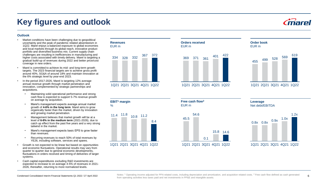**Key figures and outlook**

### **Outlook**

- Market conditions have been challenging due to geopolitical uncertainty and the peak of pandemic related absenteeism in 1Q22. Marel enjoys a balanced exposure to global economies and local markets through its global reach, innovative product portfolio and diversified business mix. Current supply chain challenges are resulting in inefficiencies in manufacturing and higher costs associated with timely delivery. Marel is targeting a gradual build-up of revenues during 2022 and better price/cost coverage in new orders.
- Marel is committed to achieve its mid- and long-term growth targets. The 2023 financial targets are to achieve gross profit around 40%, SG&A of around 18% and maintain innovation at the 6% strategic level by year-end 2023.
- In the period 2017-2026, Marel is targeting 12% average annual revenue growth through market penetration and innovation, complemented by strategic partnerships and acquisitions.
	- Maintaining solid operational performance and strong cash flow is expected to support 5-7% revenue growth on average by acquisition.
	- Marel's management expects average annual market growth of **4-6% in the long term**. Marel aims to grow organically faster than the market, driven by innovation and growing market penetration.
	- Management believes that market growth will be at a level of **6-8% in the medium term** (2021-2026), due to catch up effect from the past five years and a very strong tailwind in the market.
	- Marel's management expects basic EPS to grow faster than revenues.
	- Recurring revenues to reach 50% of total revenues by YE26, including software, services and spares.
- Growth is not expected to be linear but based on opportunities and economic fluctuations. Operational results may vary from quarter to quarter due to general economic developments, fluctuations in orders received and timing of deliveries of larger systems.
- Cash capital expenditures excluding R&D investments are expected to increase to on average 4-5% of revenues in 2021- 2026, thereafter, returning to more normalized levels.

#### **Revenues** EUR m



1Q21 2Q21 3Q21 4Q21 1Q22





1Q21 2Q21 3Q21 4Q21 1Q22

### **Order book** EUR m



1Q21 2Q21 3Q21 4Q21 1Q22

**Free cash flow<sup>2</sup>** EUR m



**Leverage** Net debt/EBITDA



Condensed Consolidated Interim Financial Statements Q1 2022 / 27 April 2022 **6 from operating activities less taxes** paid and net investments in PP&E and intangible assets. The cash in the cash now defined as cash genera Notes: <sup>1</sup> Operating income adjusted for PPA related costs, including depreciation and amortization, and acquisition related costs, <sup>2</sup> Free cash flow defined as cash generated

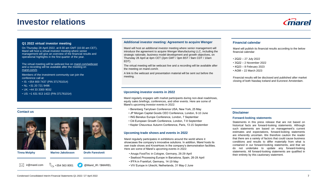## **Investor relations**



### **Q1 2022 virtual investor meeting**

On Thursday 28 April 2022, at 8:30 am GMT (10:30 am CET), Marel will host a virtual investor meeting where senior management will give an overview of the financial results and operational highlights in the first quarter of the year.

The virtual meeting will be webcast live on [marel.com/webcast](https://marel.com/webcast)  and a recording will be available after the meeting on [marel.com/ir.](https://marel.com/ir)

Members of the investment community can join the conference call at:

- IS: +354 800 7437 (PIN 37176101#)
- NL: +31 20 721 9496
- UK: +44 33 3300 9032
- US: +1 631 913 1422 (PIN 37176101#)

#### **Contact us**





**Tinna Molphy Marino Jakobsson Drofn Farestveit**

 $\%$  +354 563 8001

### Marel will host an additional investor meeting where senior management will

introduce the agreement to acquire Wenger Manufacturing LLC, including the strategic rationale, business model development and growth objectives, on Thursday 28 April at 4pm CET (2pm GMT / 3pm BST / 9am CDT / 10am EDT).

The virtual meeting will be webcast live and a recording will be available after the meeting on marel.com/ir.

A link to the webcast and presentation material will be sent out before the meeting.

#### **Upcoming investor events in 2022**

Marel regularly engages with market participants during non-deal roadshows, equity sales briefings, conferences, and other events. Here are some of Marel's upcoming investor events in 2022:

- Berenberg Tarrytown Conference USA, New York, 25 May
- JP Morgan Capital Goods CEO Conference, London, 9-10 June
- ING Benelux Europe Conference, London, 7 September
- Citi European Growth Conference, London, 7-8 September
- Kepler Cheuvreux Autumn Conference, Paris, 13-15 September

#### **Upcoming trade shows and events in 2022**

Marel regularly participates in exhibitions around the world where it showcases the company's innovative solutions. In addition, Marel hosts its own trade shows and KnowHows in the company's demonstration facilities. Here are some of Marel's upcoming events in 2022:

- Anuga FoodTec in Cologne, Germany, 26-29 April
- Seafood Processing Europe in Barcelona, Spain, 26-28 April
- IFFA in Frankfurt, Germany, 14-19 May
- $\bowtie$  ir@marel.com  $\ll$  +354 563 8001 ( $\blacktriangledown$ ) @Marel\_IR / \$MAREL VIV Europe in Utrecht, Netherlands, 31 May-2 June

#### **Additional investor meeting: Agreement to acquire Wenger Financial calendar**

Marel will publish its financial results according to the below financial calendar:

- 2Q22 27 July 2022
- 3Q22 2 November 2022
- 4Q23 8 February 2023
- AGM 22 March 2023

Financial results will be disclosed and published after market closing of both Nasdaq Iceland and Euronext Amsterdam.

#### **Disclaimer**

#### **Forward-looking statements**

Statements in this press release that are not based on historical facts are forward-looking statements. Although such statements are based on management's current estimates and expectations, forward-looking statements are inherently uncertain. We therefore caution the reader that there are a variety of factors that could cause business conditions and results to differ materially from what is contained in our forward-looking statements, and that we do not undertake to update any forward-looking statements. All forward-looking statements are qualified in their entirety by this cautionary statement.